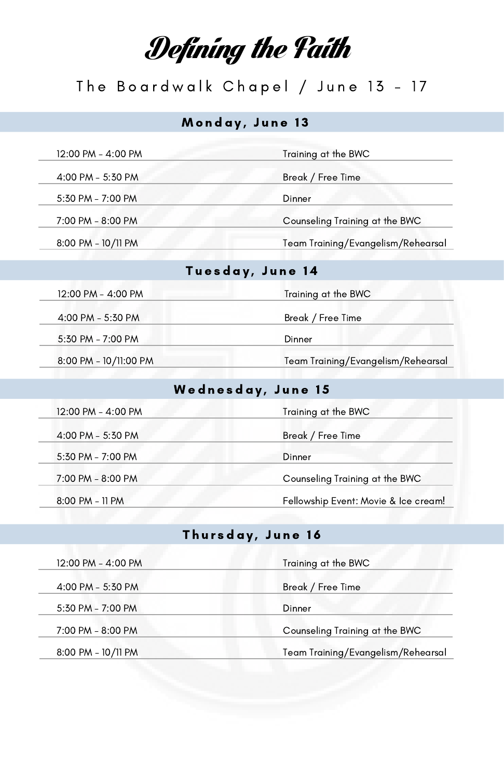# Defining the Faith

### The Boardwalk Chapel / June 13 - 17

#### Monday, June 13

4:00 PM - 5:30 PM

5:30 PM - 7:00 PM Dinner

#### 12:00 PM - 4:00 PM

7:00 PM - 8:00 PM Counseling Training at the BWC

8:00 PM - 10/11 PM Team Training/Evangelism/Rehearsal

#### Tuesday, June 14

| 12:00 PM - 4:00 PM    | Training at the BWC                |
|-----------------------|------------------------------------|
| 4:00 PM - 5:30 PM     | Break / Free Time                  |
| 5:30 PM - 7:00 PM     | Dinner                             |
| 8:00 PM - 10/11:00 PM | Team Training/Evangelism/Rehearsal |

#### Wednesday, June 15

| 12:00 PM - 4:00 PM | Training at the BWC                  |
|--------------------|--------------------------------------|
| 4:00 PM - 5:30 PM  | Break / Free Time                    |
| 5:30 PM - 7:00 PM  | Dinner                               |
| 7:00 PM - 8:00 PM  | Counseling Training at the BWC       |
| 8:00 PM - 11 PM    | Fellowship Event: Movie & Ice cream! |

#### Thursday, June 16

| 12:00 PM - 4:00 PM | Training at the BWC                |
|--------------------|------------------------------------|
| 4:00 PM - 5:30 PM  | Break / Free Time                  |
| 5:30 PM - 7:00 PM  | Dinner                             |
| 7:00 PM - 8:00 PM  | Counseling Training at the BWC     |
| 8:00 PM - 10/11 PM | Team Training/Evangelism/Rehearsal |